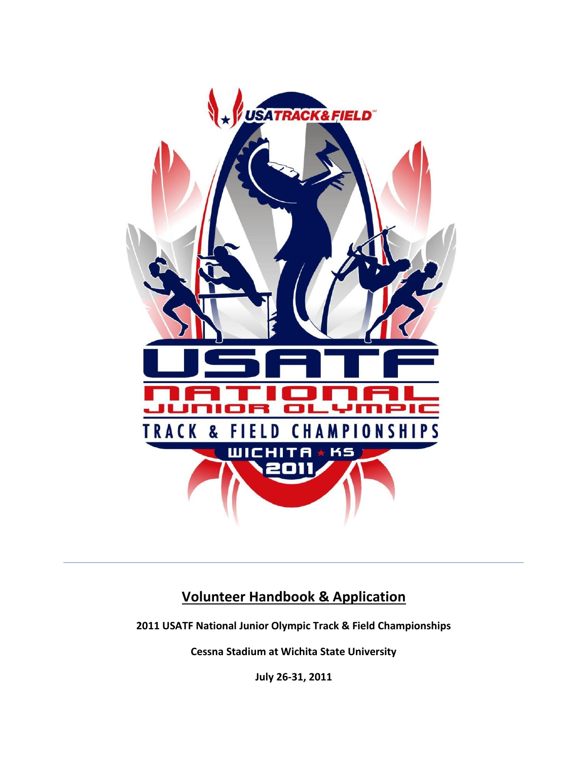

# **Volunteer Handbook & Application**

**2011 USATF National Junior Olympic Track & Field Championships**

**Cessna Stadium at Wichita State University**

**July 26-31, 2011**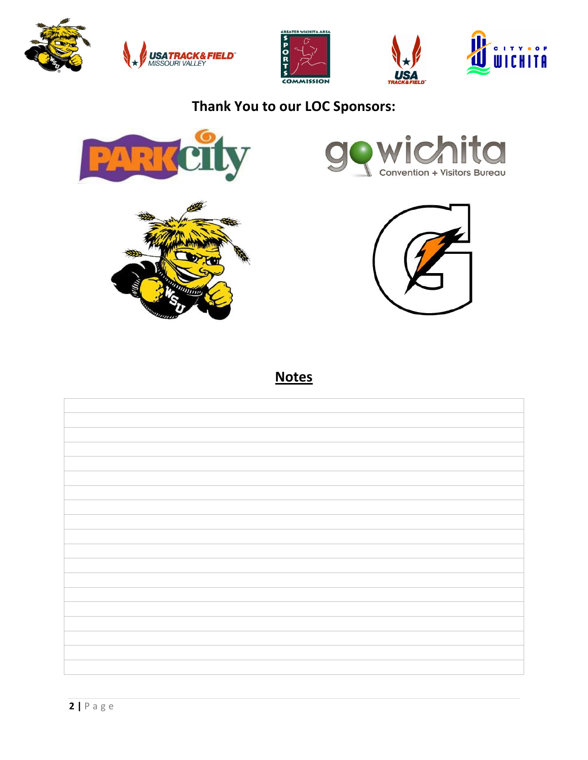







# **Thank You to our LOC Sponsors:**









**Notes**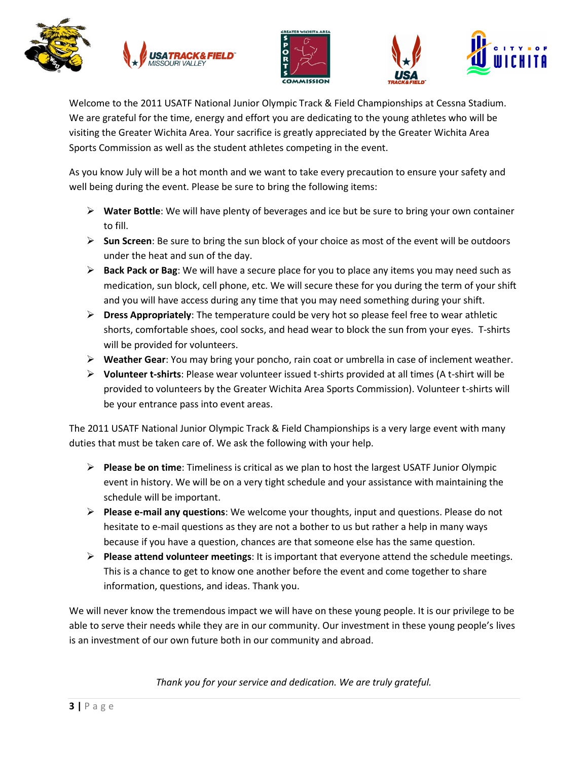







Welcome to the 2011 USATF National Junior Olympic Track & Field Championships at Cessna Stadium. We are grateful for the time, energy and effort you are dedicating to the young athletes who will be visiting the Greater Wichita Area. Your sacrifice is greatly appreciated by the Greater Wichita Area Sports Commission as well as the student athletes competing in the event.

As you know July will be a hot month and we want to take every precaution to ensure your safety and well being during the event. Please be sure to bring the following items:

- **Water Bottle**: We will have plenty of beverages and ice but be sure to bring your own container to fill.
- **Sun Screen**: Be sure to bring the sun block of your choice as most of the event will be outdoors under the heat and sun of the day.
- **Back Pack or Bag**: We will have a secure place for you to place any items you may need such as medication, sun block, cell phone, etc. We will secure these for you during the term of your shift and you will have access during any time that you may need something during your shift.
- **Dress Appropriately**: The temperature could be very hot so please feel free to wear athletic shorts, comfortable shoes, cool socks, and head wear to block the sun from your eyes. T-shirts will be provided for volunteers.
- **Weather Gear**: You may bring your poncho, rain coat or umbrella in case of inclement weather.
- **Volunteer t-shirts**: Please wear volunteer issued t-shirts provided at all times (A t-shirt will be provided to volunteers by the Greater Wichita Area Sports Commission). Volunteer t-shirts will be your entrance pass into event areas.

The 2011 USATF National Junior Olympic Track & Field Championships is a very large event with many duties that must be taken care of. We ask the following with your help.

- **Please be on time**: Timeliness is critical as we plan to host the largest USATF Junior Olympic event in history. We will be on a very tight schedule and your assistance with maintaining the schedule will be important.
- **Please e-mail any questions**: We welcome your thoughts, input and questions. Please do not hesitate to e-mail questions as they are not a bother to us but rather a help in many ways because if you have a question, chances are that someone else has the same question.
- **Please attend volunteer meetings**: It is important that everyone attend the schedule meetings. This is a chance to get to know one another before the event and come together to share information, questions, and ideas. Thank you.

We will never know the tremendous impact we will have on these young people. It is our privilege to be able to serve their needs while they are in our community. Our investment in these young people's lives is an investment of our own future both in our community and abroad.

*Thank you for your service and dedication. We are truly grateful.*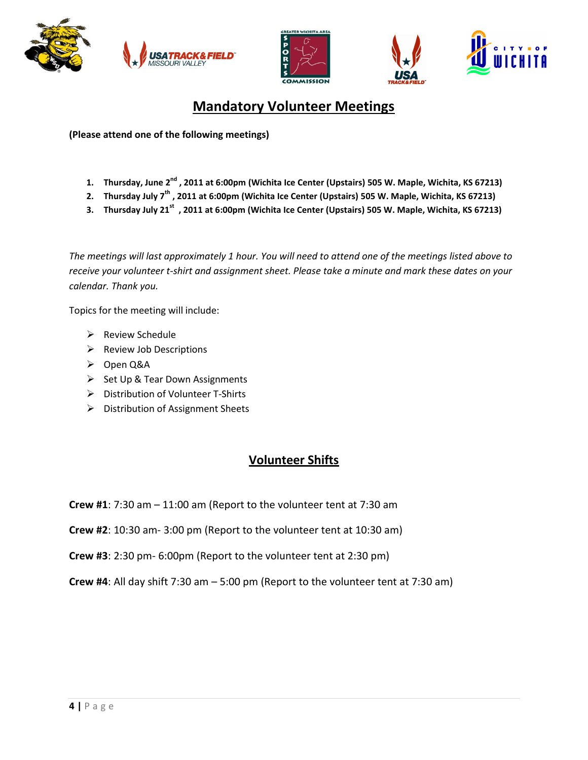







# **Mandatory Volunteer Meetings**

**(Please attend one of the following meetings)**

- **1. Thursday, June 2 nd , 2011 at 6:00pm (Wichita Ice Center (Upstairs) 505 W. Maple, Wichita, KS 67213)**
- **2. Thursday July 7th , 2011 at 6:00pm (Wichita Ice Center (Upstairs) 505 W. Maple, Wichita, KS 67213)**
- **3. Thursday July 21st , 2011 at 6:00pm (Wichita Ice Center (Upstairs) 505 W. Maple, Wichita, KS 67213)**

*The meetings will last approximately 1 hour. You will need to attend one of the meetings listed above to receive your volunteer t-shirt and assignment sheet. Please take a minute and mark these dates on your calendar. Thank you.*

Topics for the meeting will include:

- $\triangleright$  Review Schedule
- $\triangleright$  Review Job Descriptions
- Open Q&A
- $\triangleright$  Set Up & Tear Down Assignments
- $\triangleright$  Distribution of Volunteer T-Shirts
- > Distribution of Assignment Sheets

#### **Volunteer Shifts**

- **Crew #1**: 7:30 am 11:00 am (Report to the volunteer tent at 7:30 am
- **Crew #2**: 10:30 am- 3:00 pm (Report to the volunteer tent at 10:30 am)
- **Crew #3**: 2:30 pm- 6:00pm (Report to the volunteer tent at 2:30 pm)
- **Crew #4**: All day shift 7:30 am 5:00 pm (Report to the volunteer tent at 7:30 am)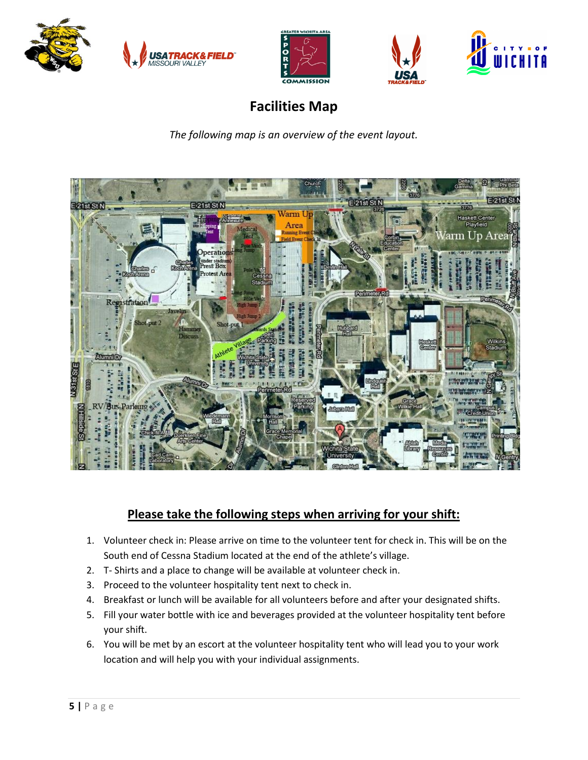







# **Facilities Map**

*The following map is an overview of the event layout.*



## **Please take the following steps when arriving for your shift:**

- 1. Volunteer check in: Please arrive on time to the volunteer tent for check in. This will be on the South end of Cessna Stadium located at the end of the athlete's village.
- 2. T- Shirts and a place to change will be available at volunteer check in.
- 3. Proceed to the volunteer hospitality tent next to check in.
- 4. Breakfast or lunch will be available for all volunteers before and after your designated shifts.
- 5. Fill your water bottle with ice and beverages provided at the volunteer hospitality tent before your shift.
- 6. You will be met by an escort at the volunteer hospitality tent who will lead you to your work location and will help you with your individual assignments.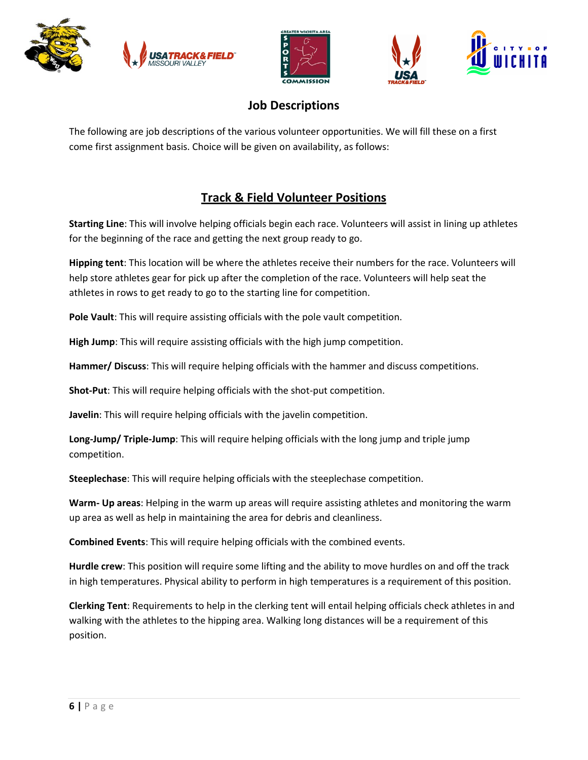





## **Job Descriptions**

The following are job descriptions of the various volunteer opportunities. We will fill these on a first come first assignment basis. Choice will be given on availability, as follows:

## **Track & Field Volunteer Positions**

**Starting Line**: This will involve helping officials begin each race. Volunteers will assist in lining up athletes for the beginning of the race and getting the next group ready to go.

**Hipping tent**: This location will be where the athletes receive their numbers for the race. Volunteers will help store athletes gear for pick up after the completion of the race. Volunteers will help seat the athletes in rows to get ready to go to the starting line for competition.

**Pole Vault**: This will require assisting officials with the pole vault competition.

**High Jump**: This will require assisting officials with the high jump competition.

**Hammer/ Discuss**: This will require helping officials with the hammer and discuss competitions.

**Shot-Put**: This will require helping officials with the shot-put competition.

**Javelin**: This will require helping officials with the javelin competition.

**Long-Jump/ Triple-Jump**: This will require helping officials with the long jump and triple jump competition.

**Steeplechase**: This will require helping officials with the steeplechase competition.

**Warm- Up areas**: Helping in the warm up areas will require assisting athletes and monitoring the warm up area as well as help in maintaining the area for debris and cleanliness.

**Combined Events**: This will require helping officials with the combined events.

**Hurdle crew**: This position will require some lifting and the ability to move hurdles on and off the track in high temperatures. Physical ability to perform in high temperatures is a requirement of this position.

**Clerking Tent**: Requirements to help in the clerking tent will entail helping officials check athletes in and walking with the athletes to the hipping area. Walking long distances will be a requirement of this position.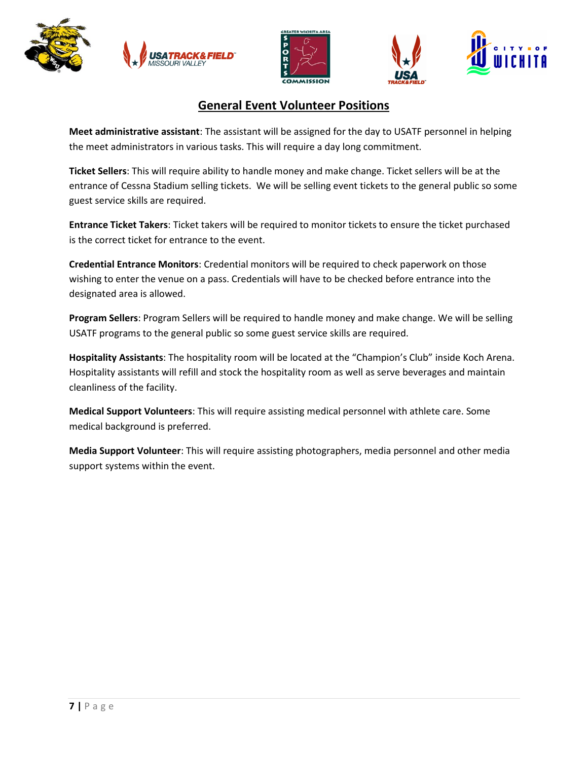







#### **General Event Volunteer Positions**

**Meet administrative assistant**: The assistant will be assigned for the day to USATF personnel in helping the meet administrators in various tasks. This will require a day long commitment.

**Ticket Sellers**: This will require ability to handle money and make change. Ticket sellers will be at the entrance of Cessna Stadium selling tickets. We will be selling event tickets to the general public so some guest service skills are required.

**Entrance Ticket Takers**: Ticket takers will be required to monitor tickets to ensure the ticket purchased is the correct ticket for entrance to the event.

**Credential Entrance Monitors**: Credential monitors will be required to check paperwork on those wishing to enter the venue on a pass. Credentials will have to be checked before entrance into the designated area is allowed.

**Program Sellers**: Program Sellers will be required to handle money and make change. We will be selling USATF programs to the general public so some guest service skills are required.

**Hospitality Assistants**: The hospitality room will be located at the "Champion's Club" inside Koch Arena. Hospitality assistants will refill and stock the hospitality room as well as serve beverages and maintain cleanliness of the facility.

**Medical Support Volunteers**: This will require assisting medical personnel with athlete care. Some medical background is preferred.

**Media Support Volunteer**: This will require assisting photographers, media personnel and other media support systems within the event.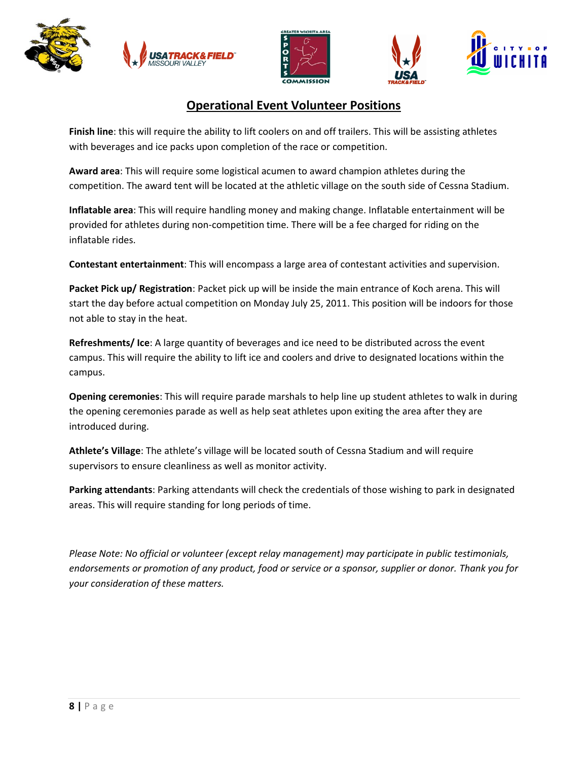







### **Operational Event Volunteer Positions**

**Finish line**: this will require the ability to lift coolers on and off trailers. This will be assisting athletes with beverages and ice packs upon completion of the race or competition.

**Award area**: This will require some logistical acumen to award champion athletes during the competition. The award tent will be located at the athletic village on the south side of Cessna Stadium.

**Inflatable area**: This will require handling money and making change. Inflatable entertainment will be provided for athletes during non-competition time. There will be a fee charged for riding on the inflatable rides.

**Contestant entertainment**: This will encompass a large area of contestant activities and supervision.

**Packet Pick up/ Registration**: Packet pick up will be inside the main entrance of Koch arena. This will start the day before actual competition on Monday July 25, 2011. This position will be indoors for those not able to stay in the heat.

**Refreshments/ Ice**: A large quantity of beverages and ice need to be distributed across the event campus. This will require the ability to lift ice and coolers and drive to designated locations within the campus.

**Opening ceremonies**: This will require parade marshals to help line up student athletes to walk in during the opening ceremonies parade as well as help seat athletes upon exiting the area after they are introduced during.

**Athlete's Village**: The athlete's village will be located south of Cessna Stadium and will require supervisors to ensure cleanliness as well as monitor activity.

**Parking attendants**: Parking attendants will check the credentials of those wishing to park in designated areas. This will require standing for long periods of time.

*Please Note: No official or volunteer (except relay management) may participate in public testimonials, endorsements or promotion of any product, food or service or a sponsor, supplier or donor. Thank you for your consideration of these matters.*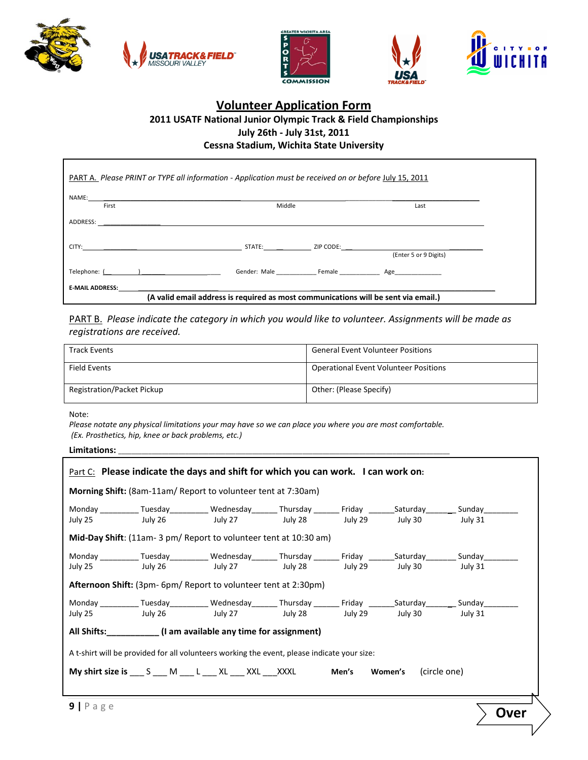







#### **Volunteer Application Form 2011 USATF National Junior Olympic Track & Field Championships July 26th - July 31st, 2011 Cessna Stadium, Wichita State University**

| PART A. Please PRINT or TYPE all information - Application must be received on or before July 15, 2011                                                                                                                         |                                                                                    |                       |
|--------------------------------------------------------------------------------------------------------------------------------------------------------------------------------------------------------------------------------|------------------------------------------------------------------------------------|-----------------------|
| NAME: NAME:<br>First                                                                                                                                                                                                           | Middle                                                                             | Last                  |
|                                                                                                                                                                                                                                |                                                                                    |                       |
| CITY: the contract of the contract of the contract of the contract of the contract of the contract of the contract of the contract of the contract of the contract of the contract of the contract of the contract of the cont |                                                                                    | STATE: ZIP CODE:      |
|                                                                                                                                                                                                                                |                                                                                    | (Enter 5 or 9 Digits) |
| Telephone: ( )                                                                                                                                                                                                                 |                                                                                    |                       |
| E-MAIL ADDRESS: Example 20 and the set of the set of the set of the set of the set of the set of the set of the set of the set of the set of the set of the set of the set of the set of the set of the set of the set of the  |                                                                                    |                       |
|                                                                                                                                                                                                                                | (A valid email address is required as most communications will be sent via email.) |                       |

PART B. *Please indicate the category in which you would like to volunteer. Assignments will be made as registrations are received.*

| <b>Track Events</b>               | <b>General Event Volunteer Positions</b>     |
|-----------------------------------|----------------------------------------------|
| Field Events                      | <b>Operational Event Volunteer Positions</b> |
| <b>Registration/Packet Pickup</b> | Other: (Please Specify)                      |

Note:

*Please notate any physical limitations your may have so we can place you where you are most comfortable. (Ex. Prosthetics, hip, knee or back problems, etc.)* 

Limitations:

|                                                                                             | <b>Part C:</b> Please indicate the days and shift for which you can work. I can work on:                                  |  |  |  |  |         |
|---------------------------------------------------------------------------------------------|---------------------------------------------------------------------------------------------------------------------------|--|--|--|--|---------|
| <b>Morning Shift:</b> (8am-11am/ Report to volunteer tent at 7:30am)                        |                                                                                                                           |  |  |  |  |         |
|                                                                                             | Monday ____________ Tuesday____________ Wednesday_________ Thursday _________ Friday _________Saturday________            |  |  |  |  |         |
| July 25                                                                                     |                                                                                                                           |  |  |  |  | July 31 |
| Mid-Day Shift: (11am- 3 pm/ Report to volunteer tent at 10:30 am)                           |                                                                                                                           |  |  |  |  |         |
|                                                                                             | Monday ___________Tuesday____________Wednesday________Thursday _________Friday ________Saturday___________Sunday_________ |  |  |  |  |         |
| July 25                                                                                     |                                                                                                                           |  |  |  |  | July 31 |
| <b>Afternoon Shift:</b> (3pm- 6pm/ Report to volunteer tent at 2:30pm)                      |                                                                                                                           |  |  |  |  |         |
|                                                                                             | Monday ___________Tuesday____________Wednesday________Thursday _________Friday ________Saturday__________Sunday_________  |  |  |  |  |         |
| July 25                                                                                     |                                                                                                                           |  |  |  |  |         |
| All Shifts: ___________(I am available any time for assignment)                             |                                                                                                                           |  |  |  |  |         |
| A t-shirt will be provided for all volunteers working the event, please indicate your size: |                                                                                                                           |  |  |  |  |         |
|                                                                                             | My shirt size is ___ S ___ M ___ L ___ XL ___ XXL ___ XXXL Men's Women's (circle one)                                     |  |  |  |  |         |
|                                                                                             |                                                                                                                           |  |  |  |  |         |
| $9$   Page                                                                                  |                                                                                                                           |  |  |  |  | Over    |